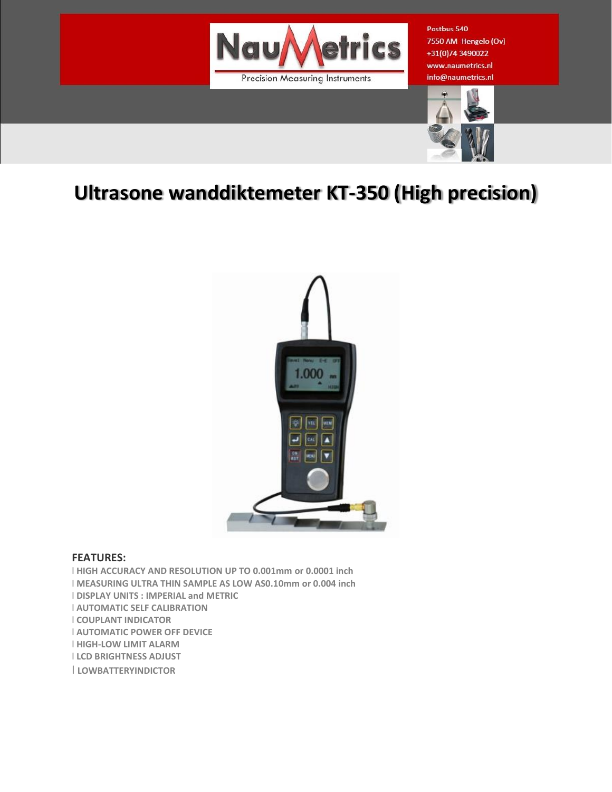

Postbus 540 7550 AM Hengelo (Ov) +31(0)74 3490022 www.naumetrics.nl info@naumetrics.nl



## **Ultrasone wanddiktemeter KT-350 (High precision)**



## **FEATURES:**

l **HIGH ACCURACY AND RESOLUTION UP TO 0.001mm or 0.0001 inch** l **MEASURING ULTRA THIN SAMPLE AS LOW AS0.10mm or 0.004 inch** l **DISPLAY UNITS : IMPERIAL and METRIC** l **AUTOMATIC SELF CALIBRATION** l **COUPLANT INDICATOR** l **AUTOMATIC POWER OFF DEVICE** l **HIGH-LOW LIMIT ALARM** l **LCD BRIGHTNESS ADJUST** l **LOWBATTERYINDICTOR**